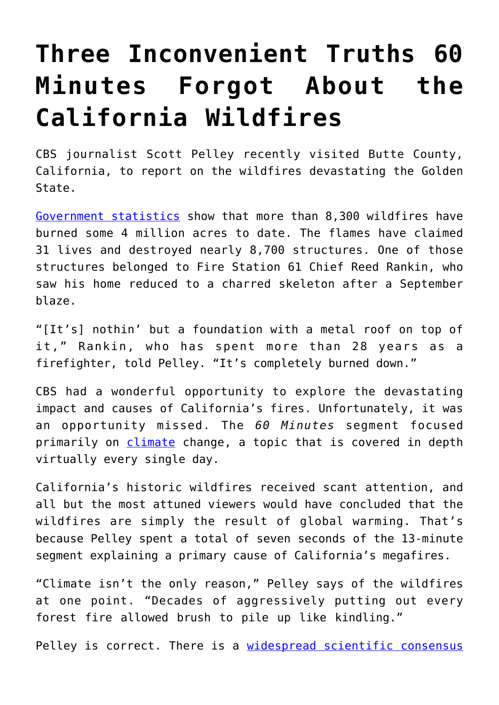# **[Three Inconvenient Truths 60](https://intellectualtakeout.org/2020/10/three-inconvenient-truths-60-minutes-forgot-about-the-california-wildfires/) [Minutes Forgot About the](https://intellectualtakeout.org/2020/10/three-inconvenient-truths-60-minutes-forgot-about-the-california-wildfires/) [California Wildfires](https://intellectualtakeout.org/2020/10/three-inconvenient-truths-60-minutes-forgot-about-the-california-wildfires/)**

CBS journalist Scott Pelley recently visited Butte County, California, to report on the wildfires devastating the Golden State.

[Government statistics](https://www.fire.ca.gov/daily-wildfire-report/) show that more than 8,300 wildfires have burned some 4 million acres to date. The flames have claimed 31 lives and destroyed nearly 8,700 structures. One of those structures belonged to Fire Station 61 Chief Reed Rankin, who saw his home reduced to a charred skeleton after a September blaze.

"[It's] nothin' but a foundation with a metal roof on top of it," Rankin, who has spent more than 28 years as a firefighter, told Pelley. "It's completely burned down."

CBS had a wonderful opportunity to explore the devastating impact and causes of California's fires. Unfortunately, it was an opportunity missed. The *60 Minutes* segment focused primarily on *climate* change, a topic that is covered in depth virtually every single day.

California's historic wildfires received scant attention, and all but the most attuned viewers would have concluded that the wildfires are simply the result of global warming. That's because Pelley spent a total of seven seconds of the 13-minute segment explaining a primary cause of California's megafires.

"Climate isn't the only reason," Pelley says of the wildfires at one point. "Decades of aggressively putting out every forest fire allowed brush to pile up like kindling."

Pelley is correct. There is a [widespread scientific consensus](https://www.propublica.org/article/they-know-how-to-prevent-megafires-why-wont-anybody-listen)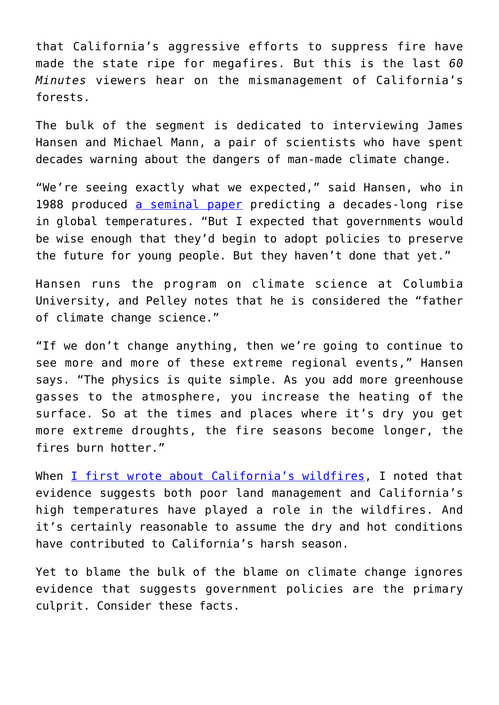that California's aggressive efforts to suppress fire have made the state ripe for megafires. But this is the last *60 Minutes* viewers hear on the mismanagement of California's forests.

The bulk of the segment is dedicated to interviewing James Hansen and Michael Mann, a pair of scientists who have spent decades warning about the dangers of man-made climate change.

"We're seeing exactly what we expected," said Hansen, who in 1988 produced [a seminal paper](https://pubs.giss.nasa.gov/abs/ha01700z.html) predicting a decades-long rise in global temperatures. "But I expected that governments would be wise enough that they'd begin to adopt policies to preserve the future for young people. But they haven't done that yet."

Hansen runs the program on climate science at Columbia University, and Pelley notes that he is considered the "father of climate change science."

"If we don't change anything, then we're going to continue to see more and more of these extreme regional events," Hansen says. "The physics is quite simple. As you add more greenhouse gasses to the atmosphere, you increase the heating of the surface. So at the times and places where it's dry you get more extreme droughts, the fire seasons become longer, the fires burn hotter."

When [I first wrote about California's wildfires](https://fee.org/articles/forest-fires-aren-t-at-historic-highs-in-the-united-states-not-even-close/), I noted that evidence suggests both poor land management and California's high temperatures have played a role in the wildfires. And it's certainly reasonable to assume the dry and hot conditions have contributed to California's harsh season.

Yet to blame the bulk of the blame on climate change ignores evidence that suggests government policies are the primary culprit. Consider these facts.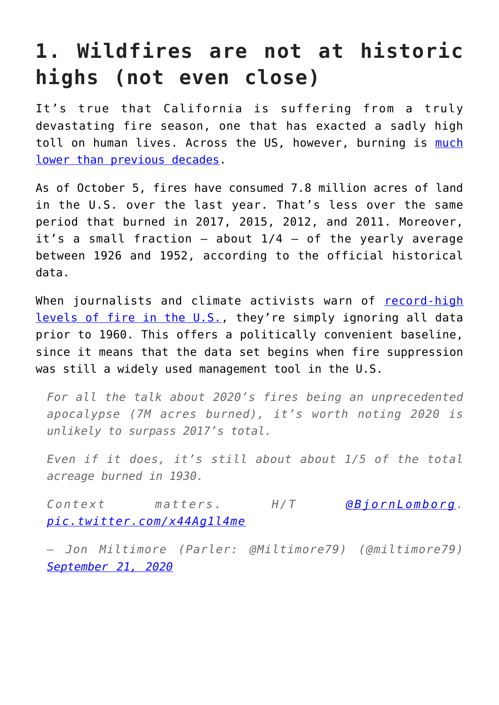## **1. Wildfires are not at historic highs (not even close)**

It's true that California is suffering from a truly devastating fire season, one that has exacted a sadly high toll on human lives. Across the US, however, burning is [much](https://fee.org/articles/forest-fires-aren-t-at-historic-highs-in-the-united-states-not-even-close/) [lower than previous decades.](https://fee.org/articles/forest-fires-aren-t-at-historic-highs-in-the-united-states-not-even-close/)

As of October 5, fires have consumed 7.8 million acres of land in the U.S. over the last year. That's less over the same period that burned in 2017, 2015, 2012, and 2011. Moreover, it's a small fraction  $-$  about  $1/4$   $-$  of the yearly average between 1926 and 1952, according to the official historical data.

When journalists and climate activists warn of [record-high](https://www.telegraph.co.uk/news/worldnews/northamerica/usa/11932329/2015-becomes-worst-US-wildfire-year-on-record.html?fbclid=IwAR0TP4tgg6wgU0t-cwI2xj8OflUoh4zyLs6WfwzJB_DdzN4qjvnikPg6E4o) [levels of fire in the U.S.](https://www.telegraph.co.uk/news/worldnews/northamerica/usa/11932329/2015-becomes-worst-US-wildfire-year-on-record.html?fbclid=IwAR0TP4tgg6wgU0t-cwI2xj8OflUoh4zyLs6WfwzJB_DdzN4qjvnikPg6E4o), they're simply ignoring all data prior to 1960. This offers a politically convenient baseline, since it means that the data set begins when fire suppression was still a widely used management tool in the U.S.

*For all the talk about 2020's fires being an unprecedented apocalypse (7M acres burned), it's worth noting 2020 is unlikely to surpass 2017's total.*

*Even if it does, it's still about about 1/5 of the total acreage burned in 1930.*

*Context matters. H/T [@BjornLomborg.](https://twitter.com/BjornLomborg?ref_src=twsrc%5Etfw) [pic.twitter.com/x44Ag1l4me](https://t.co/x44Ag1l4me)*

*— Jon Miltimore (Parler: @Miltimore79) (@miltimore79) [September 21, 2020](https://twitter.com/miltimore79/status/1308031892919377922?ref_src=twsrc%5Etfw)*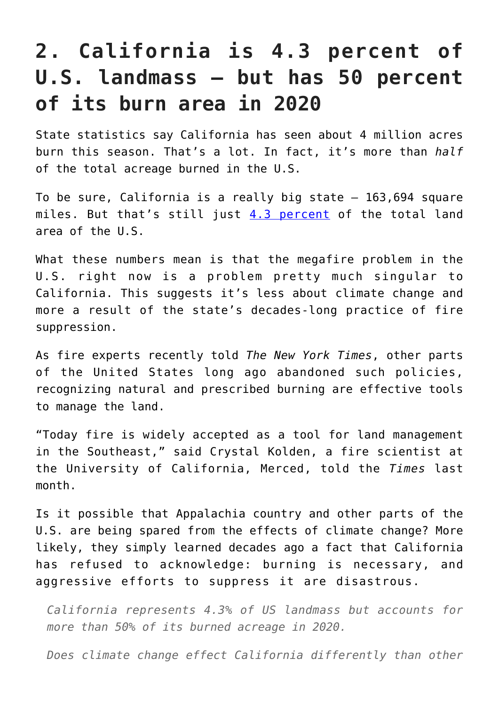### **2. California is 4.3 percent of U.S. landmass – but has 50 percent of its burn area in 2020**

State statistics say California has seen about 4 million acres burn this season. That's a lot. In fact, it's more than *half* of the total acreage burned in the U.S.

To be sure, California is a really big state  $-163,694$  square miles. But that's still just [4.3 percent](https://beef2live.com/story-ranking-states-area-89-118259) of the total land area of the U.S.

What these numbers mean is that the megafire problem in the U.S. right now is a problem pretty much singular to California. This suggests it's less about climate change and more a result of the state's decades-long practice of fire suppression.

As fire experts recently told *The New York Times*, other parts of the United States long ago abandoned such policies, recognizing natural and prescribed burning are effective tools to manage the land.

"Today fire is widely accepted as a tool for land management in the Southeast," said Crystal Kolden, a fire scientist at the University of California, Merced, told the *Times* last month.

Is it possible that Appalachia country and other parts of the U.S. are being spared from the effects of climate change? More likely, they simply learned decades ago a fact that California has refused to acknowledge: burning is necessary, and aggressive efforts to suppress it are disastrous.

*California represents 4.3% of US landmass but accounts for more than 50% of its burned acreage in 2020.*

*Does climate change effect California differently than other*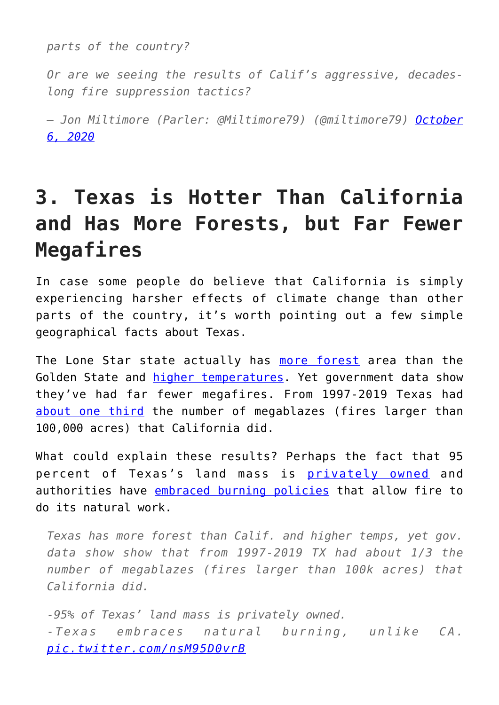*parts of the country?*

*Or are we seeing the results of Calif's aggressive, decadeslong fire suppression tactics?*

*— Jon Miltimore (Parler: @Miltimore79) (@miltimore79) [October](https://twitter.com/miltimore79/status/1313474444925505538?ref_src=twsrc%5Etfw) [6, 2020](https://twitter.com/miltimore79/status/1313474444925505538?ref_src=twsrc%5Etfw)*

### **3. Texas is Hotter Than California and Has More Forests, but Far Fewer Megafires**

In case some people do believe that California is simply experiencing harsher effects of climate change than other parts of the country, it's worth pointing out a few simple geographical facts about Texas.

The Lone Star state actually has [more forest](https://en.wikipedia.org/wiki/Forest_cover_by_state_and_territory_in_the_United_States) area than the Golden State and *higher temperatures*. Yet government data show they've had far fewer megafires. From 1997-2019 Texas had [about one third](https://www.nifc.gov/fireInfo/fireInfo_statistics.html) the number of megablazes (fires larger than 100,000 acres) that California did.

What could explain these results? Perhaps the fact that 95 percent of Texas's land mass is [privately owned](https://nri.tamu.edu/blog/2017/august/taking-care-of-the-land-an-intro-to-private-land-stewardship/) and authorities have [embraced burning policies](https://tpwd.texas.gov/landwater/land/habitats/post_oak/habitat_management/fire/#:~:text=As%20a%20general%20rule%2C%20about,forbs%20(weeds%20and%20wildflowers).) that allow fire to do its natural work.

*Texas has more forest than Calif. and higher temps, yet gov. data show show that from 1997-2019 TX had about 1/3 the number of megablazes (fires larger than 100k acres) that California did.*

*-95% of Texas' land mass is privately owned. -Texas embraces natural burning, unlike CA. [pic.twitter.com/nsM95D0vrB](https://t.co/nsM95D0vrB)*